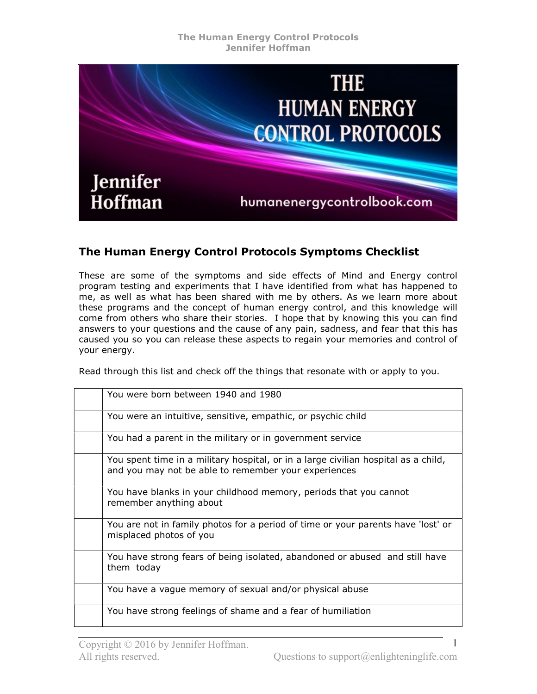

## The Human Energy Control Protocols Symptoms Checklist

These are some of the symptoms and side effects of Mind and Energy control program testing and experiments that I have identified from what has happened to me, as well as what has been shared with me by others. As we learn more about these programs and the concept of human energy control, and this knowledge will come from others who share their stories. I hope that by knowing this you can find answers to your questions and the cause of any pain, sadness, and fear that this has caused you so you can release these aspects to regain your memories and control of your energy.

Read through this list and check off the things that resonate with or apply to you.

| You were born between 1940 and 1980                                                                                                        |
|--------------------------------------------------------------------------------------------------------------------------------------------|
| You were an intuitive, sensitive, empathic, or psychic child                                                                               |
| You had a parent in the military or in government service                                                                                  |
| You spent time in a military hospital, or in a large civilian hospital as a child,<br>and you may not be able to remember your experiences |
| You have blanks in your childhood memory, periods that you cannot<br>remember anything about                                               |
| You are not in family photos for a period of time or your parents have 'lost' or<br>misplaced photos of you                                |
| You have strong fears of being isolated, abandoned or abused and still have<br>them today                                                  |
| You have a vague memory of sexual and/or physical abuse                                                                                    |
| You have strong feelings of shame and a fear of humiliation                                                                                |

1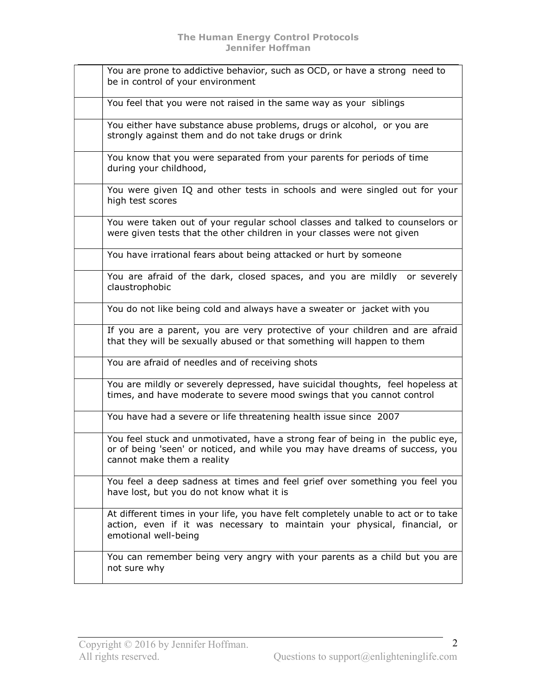| You are prone to addictive behavior, such as OCD, or have a strong need to<br>be in control of your environment                                                                              |
|----------------------------------------------------------------------------------------------------------------------------------------------------------------------------------------------|
| You feel that you were not raised in the same way as your siblings                                                                                                                           |
| You either have substance abuse problems, drugs or alcohol, or you are<br>strongly against them and do not take drugs or drink                                                               |
| You know that you were separated from your parents for periods of time<br>during your childhood,                                                                                             |
| You were given IQ and other tests in schools and were singled out for your<br>high test scores                                                                                               |
| You were taken out of your regular school classes and talked to counselors or<br>were given tests that the other children in your classes were not given                                     |
| You have irrational fears about being attacked or hurt by someone                                                                                                                            |
| You are afraid of the dark, closed spaces, and you are mildly or severely<br>claustrophobic                                                                                                  |
| You do not like being cold and always have a sweater or jacket with you                                                                                                                      |
| If you are a parent, you are very protective of your children and are afraid<br>that they will be sexually abused or that something will happen to them                                      |
| You are afraid of needles and of receiving shots                                                                                                                                             |
| You are mildly or severely depressed, have suicidal thoughts, feel hopeless at<br>times, and have moderate to severe mood swings that you cannot control                                     |
| You have had a severe or life threatening health issue since 2007                                                                                                                            |
| You feel stuck and unmotivated, have a strong fear of being in the public eye,<br>or of being 'seen' or noticed, and while you may have dreams of success, you<br>cannot make them a reality |
| You feel a deep sadness at times and feel grief over something you feel you<br>have lost, but you do not know what it is                                                                     |
| At different times in your life, you have felt completely unable to act or to take<br>action, even if it was necessary to maintain your physical, financial, or<br>emotional well-being      |
| You can remember being very angry with your parents as a child but you are<br>not sure why                                                                                                   |